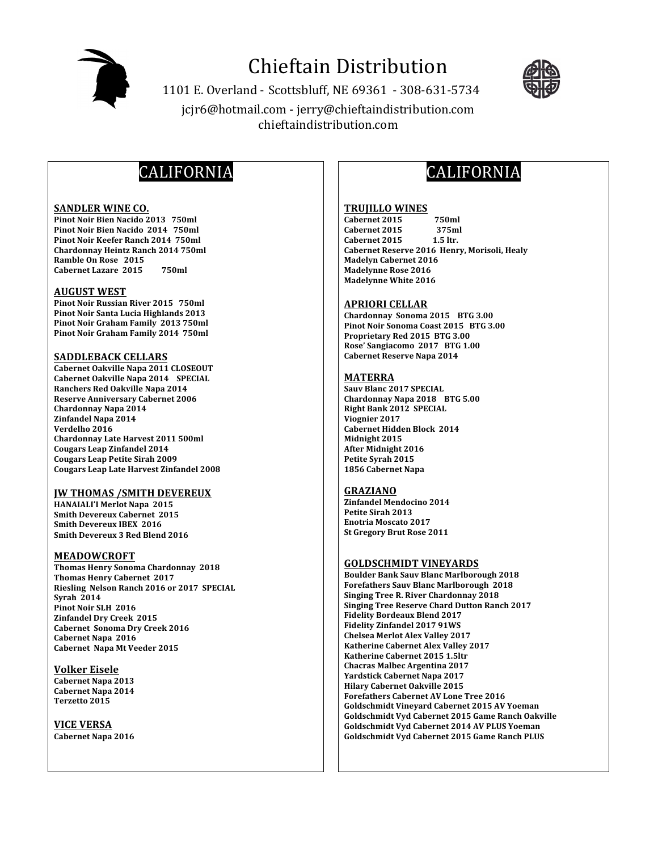

# **Chieftain Distribution**

1101 E. Overland - Scottsbluff, NE 69361 - 308-631-5734 jcjr6@hotmail.com - jerry@chieftaindistribution.com chieftaindistribution.com



# CALIFORNIA

#### **SANDLER WINE CO.**

Pinot Noir Bien Nacido 2013 750ml Pinot Noir Bien Nacido 2014 750ml Pinot Noir Keefer Ranch 2014 750ml **Chardonnay Heintz Ranch 2014 750ml** Ramble On Rose 2015 **Cabernet Lazare 2015** 750ml

#### **AUGUST WEST**

Pinot Noir Russian River 2015 750ml Pinot Noir Santa Lucia Highlands 2013 Pinot Noir Graham Family 2013 750ml Pinot Noir Graham Family 2014 750ml

#### **SADDLEBACK CELLARS**

Cabernet Oakville Napa 2011 CLOSEOUT Cabernet Oakville Napa 2014 SPECIAL Ranchers Red Oakville Napa 2014 **Reserve Anniversary Cabernet 2006** Chardonnay Napa 2014 Zinfandel Napa 2014 Verdelho 2016 **Chardonnay Late Harvest 2011 500ml Cougars Leap Zinfandel 2014 Cougars Leap Petite Sirah 2009 Cougars Leap Late Harvest Zinfandel 2008** 

#### **JW THOMAS /SMITH DEVEREUX**

**HANAIALI'I Merlot Napa 2015 Smith Devereux Cabernet 2015 Smith Devereux IBEX 2016** Smith Devereux 3 Red Blend 2016

#### **MEADOWCROFT**

**Thomas Henry Sonoma Chardonnay 2018 Thomas Henry Cabernet 2017** Riesling Nelson Ranch 2016 or 2017 SPECIAL **Syrah 2014** Pinot Noir SLH 2016 **Zinfandel Dry Creek 2015** Cabernet Sonoma Dry Creek 2016 Cabernet Napa 2016 **Cabernet Napa Mt Veeder 2015** 

**Volker Eisele** Cabernet Napa 2013 **Cabernet Napa 2014** Terzetto 2015

#### **VICE VERSA**

Cabernet Napa 2016

# **CALIFORNIA**

#### **TRUJILLO WINES**

Cabernet 2015 750ml Cabernet 2015 375ml Cabernet 2015  $1.5$  ltr. Cabernet Reserve 2016 Henry, Morisoli, Healy **Madelyn Cabernet 2016 Madelynne Rose 2016 Madelynne White 2016** 

#### **APRIORI CELLAR**

Chardonnay Sonoma 2015 BTG 3.00 Pinot Noir Sonoma Coast 2015 BTG 3.00 Proprietary Red 2015 BTG 3.00 Rose' Sangiacomo 2017 BTG 1.00 **Cabernet Reserve Napa 2014** 

#### **MATERRA**

**Sauv Blanc 2017 SPECIAL** Chardonnay Napa 2018 BTG 5.00 Right Bank 2012 SPECIAL Viognier 2017 Cabernet Hidden Block 2014 Midnight 2015 **After Midnight 2016** Petite Syrah 2015 1856 Cabernet Napa

### **GRAZIANO**

**Zinfandel Mendocino 2014** Petite Sirah 2013 **Enotria Moscato 2017 St Gregory Brut Rose 2011** 

#### **GOLDSCHMIDT VINEYARDS**

**Boulder Bank Sauv Blanc Marlborough 2018 Forefathers Sauv Blanc Marlborough 2018 Singing Tree R. River Chardonnay 2018 Singing Tree Reserve Chard Dutton Ranch 2017 Fidelity Bordeaux Blend 2017 Fidelity Zinfandel 2017 91WS Chelsea Merlot Alex Valley 2017** Katherine Cabernet Alex Valley 2017 Katherine Cabernet 2015 1.5ltr **Chacras Malbec Argentina 2017 Yardstick Cabernet Napa 2017 Hilary Cabernet Oakville 2015 Forefathers Cabernet AV Lone Tree 2016** Goldschmidt Vineyard Cabernet 2015 AV Yoeman Goldschmidt Vyd Cabernet 2015 Game Ranch Oakville Goldschmidt Vyd Cabernet 2014 AV PLUS Yoeman Goldschmidt Vyd Cabernet 2015 Game Ranch PLUS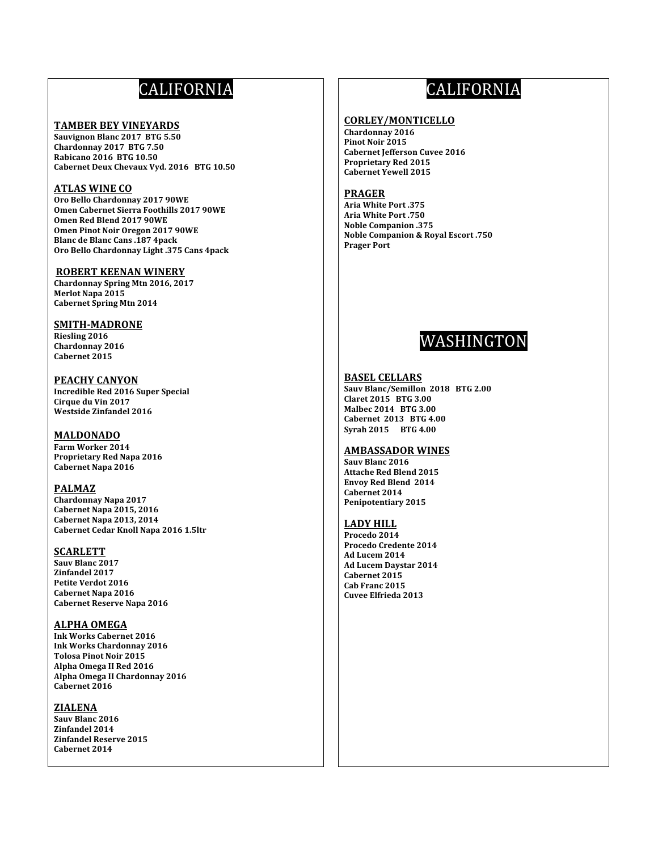# **CALIFORNIA**

#### **TAMBER BEY VINEYARDS**

Sauvignon Blanc 2017 BTG 5.50 Chardonnay 2017 BTG 7.50 Rabicano 2016 BTG 10.50 Cabernet Deux Chevaux Vyd. 2016 BTG 10.50

# **ATLAS WINE CO**

Oro Bello Chardonnay 2017 90WE **Omen Cabernet Sierra Foothills 2017 90WE** Omen Red Blend 2017 90WE Omen Pinot Noir Oregon 2017 90WE **Blanc de Blanc Cans .187 4pack** Oro Bello Chardonnay Light .375 Cans 4pack

#### **ROBERT KEENAN WINERY**

Chardonnay Spring Mtn 2016, 2017 **Merlot Napa 2015 Cabernet Spring Mtn 2014** 

# **SMITH-MADRONE**

Riesling 2016 Chardonnay 2016 Cabernet 2015

**PEACHY CANYON Incredible Red 2016 Super Special** Cirque du Vin 2017 Westside Zinfandel 2016

# **MALDONADO**

Farm Worker 2014 **Proprietary Red Napa 2016** Cabernet Napa 2016

### **PALMAZ**

Chardonnay Napa 2017 Cabernet Napa 2015, 2016 Cabernet Napa 2013, 2014 Cabernet Cedar Knoll Napa 2016 1.5ltr

## **SCARLETT**

Sauv Blanc 2017 Zinfandel 2017 Petite Verdot 2016 Cabernet Napa 2016 Cabernet Reserve Napa 2016

### **ALPHA OMEGA**

**Ink Works Cabernet 2016 Ink Works Chardonnay 2016 Tolosa Pinot Noir 2015** Alpha Omega II Red 2016 Alpha Omega II Chardonnay 2016 Cabernet 2016

# **ZIALENA**

Sauv Blanc 2016 Zinfandel 2014 **Zinfandel Reserve 2015** Cabernet 2014

# **CALIFORNIA**

#### **CORLEY/MONTICELLO**

Chardonnay 2016 Pinot Noir 2015 **Cabernet Jefferson Cuvee 2016 Proprietary Red 2015 Cabernet Yewell 2015** 

#### **PRAGER**

**Aria White Port .375** Aria White Port .750 **Noble Companion .375 Noble Companion & Royal Escort .750 Prager Port** 



#### **BASEL CELLARS**

Sauv Blanc/Semillon 2018 BTG 2.00 Claret 2015 BTG 3.00 Malbec 2014 BTG 3.00 **Cabernet 2013 BTG 4.00** Syrah 2015 BTG 4.00

### **AMBASSADOR WINES**

Sauv Blanc 2016 **Attache Red Blend 2015 Envoy Red Blend 2014** Cabernet 2014 Penipotentiary 2015

#### **LADY HILL**

Procedo 2014 Procedo Credente 2014 Ad Lucem 2014 **Ad Lucem Davstar 2014** Cabernet 2015 Cab Franc 2015 **Cuvee Elfrieda 2013**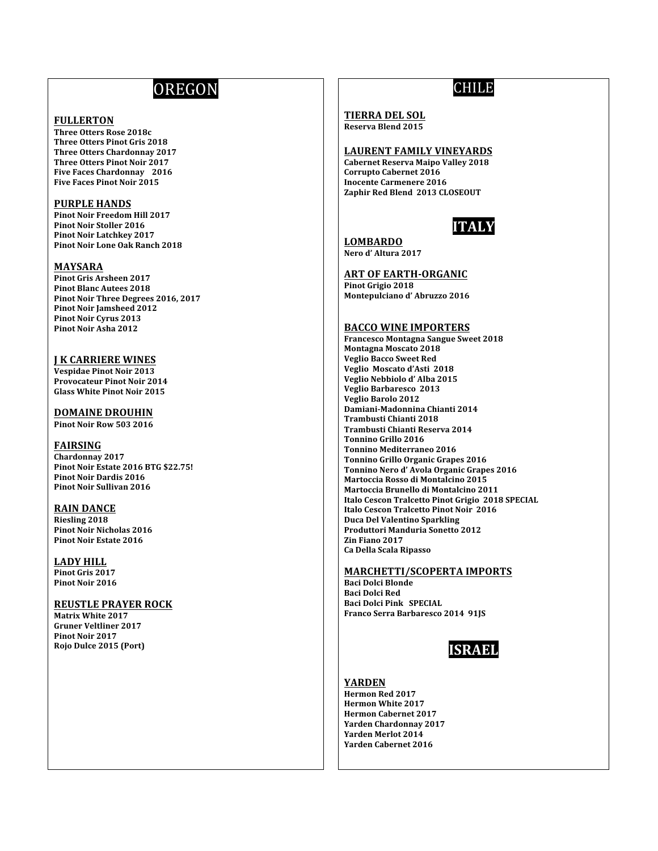# **OREGON**

# **FULLERTON**

Three Otters Rose 2018c **Three Otters Pinot Gris 2018 Three Otters Chardonnay 2017** Three Otters Pinot Noir 2017 Five Faces Chardonnay 2016 Five Faces Pinot Noir 2015

#### **PURPLE HANDS**

Pinot Noir Freedom Hill 2017 **Pinot Noir Stoller 2016 Pinot Noir Latchkey 2017** Pinot Noir Lone Oak Ranch 2018

#### **MAYSARA**

**Pinot Gris Arsheen 2017 Pinot Blanc Autees 2018** Pinot Noir Three Degrees 2016, 2017 **Pinot Noir Jamsheed 2012** Pinot Noir Cyrus 2013 Pinot Noir Asha 2012

# **J K CARRIERE WINES**

**Vespidae Pinot Noir 2013 Provocateur Pinot Noir 2014 Glass White Pinot Noir 2015** 

**DOMAINE DROUHIN** Pinot Noir Row 503 2016

## **FAIRSING**

Chardonnay 2017 Pinot Noir Estate 2016 BTG \$22.75! **Pinot Noir Dardis 2016 Pinot Noir Sullivan 2016** 

## **RAIN DANCE**

Riesling 2018 **Pinot Noir Nicholas 2016 Pinot Noir Estate 2016** 

**LADY HILL** Pinot Gris 2017 Pinot Noir 2016

## **REUSTLE PRAYER ROCK**

**Matrix White 2017 Gruner Veltliner 2017 Pinot Noir 2017** Rojo Dulce 2015 (Port)

# **CHILE**

#### **TIERRA DEL SOL** Reserva Blend 2015

## **LAURENT FAMILY VINEYARDS**

**Cabernet Reserva Maipo Valley 2018 Corrupto Cabernet 2016 Inocente Carmenere 2016** Zaphir Red Blend 2013 CLOSEOUT



**LOMBARDO** Nero d'Altura 2017

## **ART OF EARTH-ORGANIC**

Pinot Grigio 2018 Montepulciano d'Abruzzo 2016

## **BACCO WINE IMPORTERS**

**Francesco Montagna Sangue Sweet 2018 Montagna Moscato 2018 Veglio Bacco Sweet Red** Veglio Moscato d'Asti 2018 Veglio Nebbiolo d'Alba 2015 Veglio Barbaresco 2013 Veglio Barolo 2012 Damiani-Madonnina Chianti 2014 Trambusti Chianti 2018 Trambusti Chianti Reserva 2014 **Tonnino Grillo 2016 Tonnino Mediterraneo 2016 Tonnino Grillo Organic Grapes 2016** Tonnino Nero d'Avola Organic Grapes 2016 Martoccia Rosso di Montalcino 2015 Martoccia Brunello di Montalcino 2011 Italo Cescon Tralcetto Pinot Grigio 2018 SPECIAL Italo Cescon Tralcetto Pinot Noir 2016 **Duca Del Valentino Sparkling Produttori Manduria Sonetto 2012** Zin Fiano 2017 Ca Della Scala Ripasso

## **MARCHETTI/SCOPERTA IMPORTS**

**Baci Dolci Blonde Baci Dolci Red** Baci Dolci Pink SPECIAL Franco Serra Barbaresco 2014 91JS



## **YARDEN**

Hermon Red 2017 **Hermon White 2017 Hermon Cabernet 2017 Yarden Chardonnav 2017 Yarden Merlot 2014 Yarden Cabernet 2016**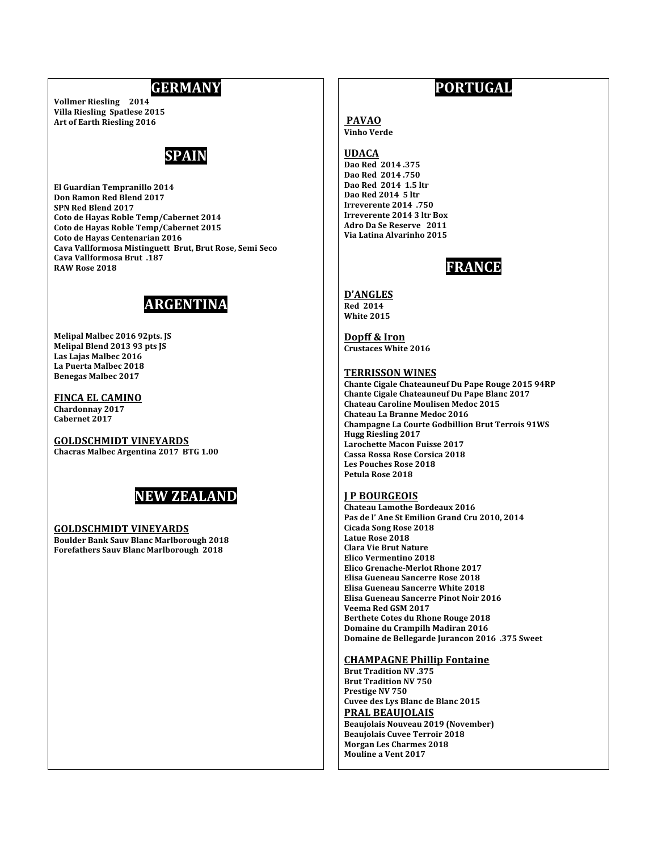# **GERMANY**

**Vollmer Riesling 2014 Villa Riesling Spatlese 2015** Art of Earth Riesling 2016



El Guardian Tempranillo 2014 Don Ramon Red Blend 2017 SPN Red Blend 2017 Coto de Hayas Roble Temp/Cabernet 2014 Coto de Hayas Roble Temp/Cabernet 2015 Coto de Hayas Centenarian 2016 Cava Vallformosa Mistinguett Brut, Brut Rose, Semi Seco **Cava Vallformosa Brut .187** RAW Rose 2018

# **ARGENTINA**

Melipal Malbec 2016 92pts. JS Melipal Blend 2013 93 pts JS Las Lajas Malbec 2016 La Puerta Malbec 2018 **Benegas Malbec 2017** 

#### **FINCA EL CAMINO** Chardonnay 2017 Cabernet 2017

**GOLDSCHMIDT VINEYARDS** 

Chacras Malbec Argentina 2017 BTG 1.00



# **GOLDSCHMIDT VINEYARDS**

**Boulder Bank Sauv Blanc Marlborough 2018 Forefathers Sauv Blanc Marlborough 2018** 

# **PORTUGAL**

# **PAVAO**

**Vinho Verde** 

# **UDACA**

Dao Red 2014.375 Dao Red 2014.750 Dao Red 2014 1.5 ltr Dao Red 2014 5 ltr Irreverente 2014 .750 Irreverente 2014 3 ltr Box Adro Da Se Reserve 2011 Via Latina Alvarinho 2015

# **FRANCE**

# **D'ANGLES**

**Red 2014** White 2015

Dopff & Iron **Crustaces White 2016** 

# **TERRISSON WINES**

Chante Cigale Chateauneuf Du Pape Rouge 2015 94RP Chante Cigale Chateauneuf Du Pape Blanc 2017 Chateau Caroline Moulisen Medoc 2015 Chateau La Branne Medoc 2016 **Champagne La Courte Godbillion Brut Terrois 91WS Hugg Riesling 2017 Larochette Macon Fuisse 2017** Cassa Rossa Rose Corsica 2018 **Les Pouches Rose 2018** Petula Rose 2018

# **JP BOURGEOIS**

Chateau Lamothe Bordeaux 2016 Pas de l'Ane St Emilion Grand Cru 2010, 2014 Cicada Song Rose 2018 Latue Rose 2018 **Clara Vie Brut Nature** Elico Vermentino 2018 Elico Grenache-Merlot Rhone 2017 Elisa Gueneau Sancerre Rose 2018 Elisa Gueneau Sancerre White 2018 Elisa Gueneau Sancerre Pinot Noir 2016 Veema Red GSM 2017 Berthete Cotes du Rhone Rouge 2018 Domaine du Crampilh Madiran 2016 Domaine de Bellegarde Jurancon 2016 .375 Sweet

# **CHAMPAGNE Phillip Fontaine**

**Brut Tradition NV 375 Brut Tradition NV 750** Prestige NV 750 Cuvee des Lys Blanc de Blanc 2015 **PRAL BEAUJOLAIS Beaujolais Nouveau 2019 (November) Beaujolais Cuvee Terroir 2018** Morgan Les Charmes 2018 **Mouline a Vent 2017**